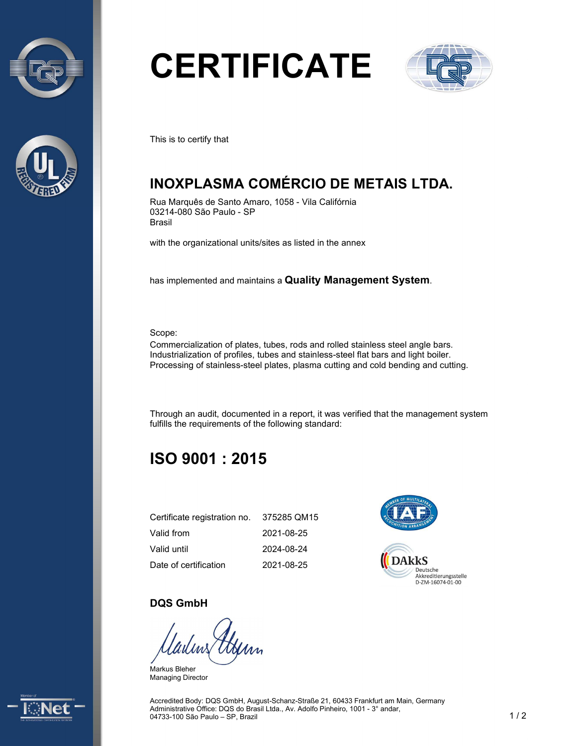



# **CERTIFICATE**



This is to certify that

## **INOXPLASMA COMÉRCIO DE METAIS LTDA.**

Rua Marquês de Santo Amaro, 1058 - Vila Califórnia 03214-080 São Paulo - SP Brasil

with the organizational units/sites as listed in the annex

has implemented and maintains a **Quality Management System**.

Scope:

Commercialization of plates, tubes, rods and rolled stainless steel angle bars. Industrialization of profiles, tubes and stainless-steel flat bars and light boiler. Processing of stainless-steel plates, plasma cutting and cold bending and cutting.

Through an audit, documented in a report, it was verified that the management system fulfills the requirements of the following standard:

## **ISO 9001 : 2015**

| Certificate registration no. | 375285 QM15 |
|------------------------------|-------------|
| Valid from                   | 2021-08-25  |
| Valid until                  | 2024-08-24  |
| Date of certification        | 2021-08-25  |



#### **DQS GmbH**

Markus Bleher Managing Director



Accredited Body: DQS GmbH, August-Schanz-Straße 21, 60433 Frankfurt am Main, Germany Administrative Office: DQS do Brasil Ltda., Av. Adolfo Pinheiro, 1001 - 3° andar, 04733-100 São Paulo – SP, Brazil 1 1 2 2 2 2 3 2 3 2 3 3 4 4 5 3 3 4 5 4 6 7 3 4 6 7 7 8 4 7 7 9 7 7 8 7 7 8 7